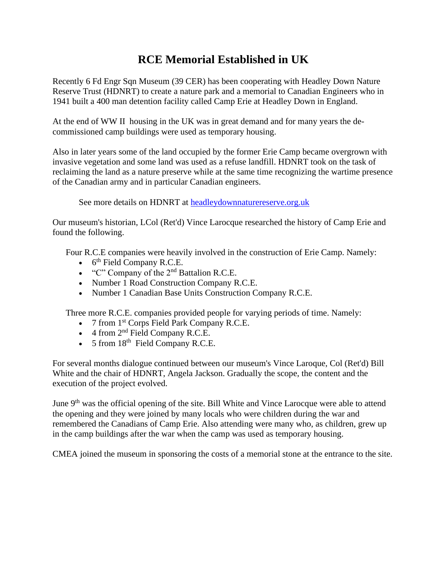## **RCE Memorial Established in UK**

Recently 6 Fd Engr Sqn Museum (39 CER) has been cooperating with Headley Down Nature Reserve Trust (HDNRT) to create a nature park and a memorial to Canadian Engineers who in 1941 built a 400 man detention facility called Camp Erie at Headley Down in England.

At the end of WW II housing in the UK was in great demand and for many years the decommissioned camp buildings were used as temporary housing.

Also in later years some of the land occupied by the former Erie Camp became overgrown with invasive vegetation and some land was used as a refuse landfill. HDNRT took on the task of reclaiming the land as a nature preserve while at the same time recognizing the wartime presence of the Canadian army and in particular Canadian engineers.

See more details on HDNRT at [headleydownnaturereserve.org.uk](http://headleydownnaturereserve.org.uk/)

Our museum's historian, LCol (Ret'd) Vince Larocque researched the history of Camp Erie and found the following.

Four R.C.E companies were heavily involved in the construction of Erie Camp. Namely:

- $\bullet$  6<sup>th</sup> Field Company R.C.E.
- "C" Company of the  $2<sup>nd</sup>$  Battalion R.C.E.
- Number 1 Road Construction Company R.C.E.
- Number 1 Canadian Base Units Construction Company R.C.E.

Three more R.C.E. companies provided people for varying periods of time. Namely:

- 7 from  $1<sup>st</sup>$  Corps Field Park Company R.C.E.
- $\bullet$  4 from  $2<sup>nd</sup>$  Field Company R.C.E.
- $\bullet$  5 from 18<sup>th</sup> Field Company R.C.E.

For several months dialogue continued between our museum's Vince Laroque, Col (Ret'd) Bill White and the chair of HDNRT, Angela Jackson. Gradually the scope, the content and the execution of the project evolved.

June 9<sup>th</sup> was the official opening of the site. Bill White and Vince Larocque were able to attend the opening and they were joined by many locals who were children during the war and remembered the Canadians of Camp Erie. Also attending were many who, as children, grew up in the camp buildings after the war when the camp was used as temporary housing.

CMEA joined the museum in sponsoring the costs of a memorial stone at the entrance to the site.